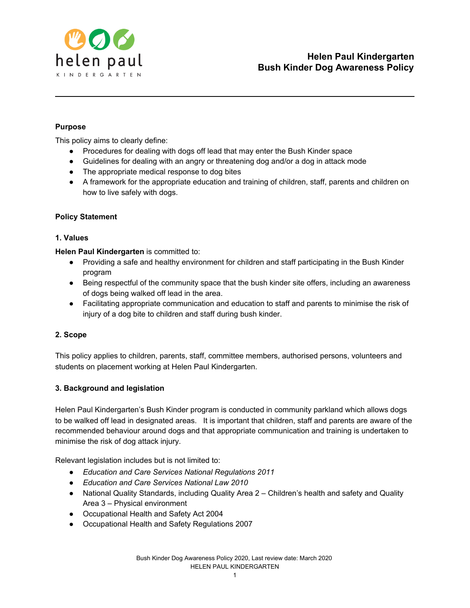

# **Purpose**

This policy aims to clearly define:

- Procedures for dealing with dogs off lead that may enter the Bush Kinder space
- Guidelines for dealing with an angry or threatening dog and/or a dog in attack mode
- The appropriate medical response to dog bites
- A framework for the appropriate education and training of children, staff, parents and children on how to live safely with dogs.

## **Policy Statement**

## **1. Values**

**Helen Paul Kindergarten** is committed to:

- Providing a safe and healthy environment for children and staff participating in the Bush Kinder program
- Being respectful of the community space that the bush kinder site offers, including an awareness of dogs being walked off lead in the area.
- Facilitating appropriate communication and education to staff and parents to minimise the risk of injury of a dog bite to children and staff during bush kinder.

## **2. Scope**

This policy applies to children, parents, staff, committee members, authorised persons, volunteers and students on placement working at Helen Paul Kindergarten.

## **3. Background and legislation**

Helen Paul Kindergarten's Bush Kinder program is conducted in community parkland which allows dogs to be walked off lead in designated areas. It is important that children, staff and parents are aware of the recommended behaviour around dogs and that appropriate communication and training is undertaken to minimise the risk of dog attack injury.

Relevant legislation includes but is not limited to:

- *Education and Care Services National Regulations 2011*
- *Education and Care Services National Law 2010*
- National Quality Standards, including Quality Area 2 Children's health and safety and Quality Area 3 – Physical environment
- Occupational Health and Safety Act 2004
- Occupational Health and Safety Regulations 2007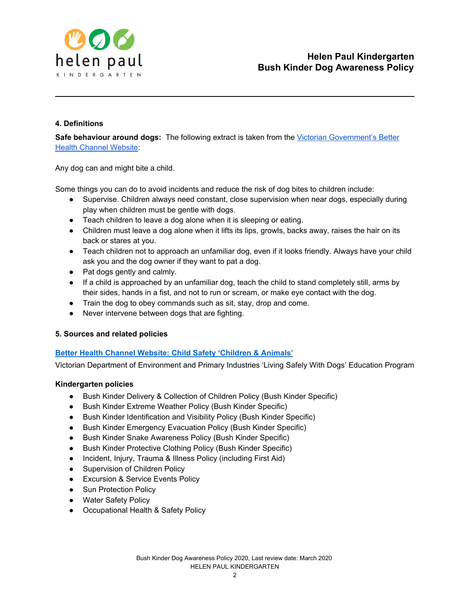

## **4. Definitions**

**Safe behaviour around dogs:** The following extract is taken from the Victorian [Government's](https://www.betterhealth.vic.gov.au/health/HealthyLiving/animals-and-child-safety?viewAsPdf=true) Better Health [Channel](https://www.betterhealth.vic.gov.au/health/HealthyLiving/animals-and-child-safety?viewAsPdf=true) Website:

Any dog can and might bite a child.

Some things you can do to avoid incidents and reduce the risk of dog bites to children include:

- Supervise. Children always need constant, close supervision when near dogs, especially during play when children must be gentle with dogs.
- Teach children to leave a dog alone when it is sleeping or eating.
- Children must leave a dog alone when it lifts its lips, growls, backs away, raises the hair on its back or stares at you.
- Teach children not to approach an unfamiliar dog, even if it looks friendly. Always have your child ask you and the dog owner if they want to pat a dog.
- Pat dogs gently and calmly.
- If a child is approached by an unfamiliar dog, teach the child to stand completely still, arms by their sides, hands in a fist, and not to run or scream, or make eye contact with the dog.
- Train the dog to obey commands such as sit, stay, drop and come.
- Never intervene between dogs that are fighting.

## **5. Sources and related policies**

## **Better Health Channel Website: Child Safety ['Children](https://www.betterhealth.vic.gov.au/health/HealthyLiving/animals-and-child-safety) & Animals'**

Victorian Department of Environment and Primary Industries 'Living Safely With Dogs' Education Program

#### **Kindergarten policies**

- Bush Kinder Delivery & Collection of Children Policy (Bush Kinder Specific)
- Bush Kinder Extreme Weather Policy (Bush Kinder Specific)
- Bush Kinder Identification and Visibility Policy (Bush Kinder Specific)
- Bush Kinder Emergency Evacuation Policy (Bush Kinder Specific)
- Bush Kinder Snake Awareness Policy (Bush Kinder Specific)
- Bush Kinder Protective Clothing Policy (Bush Kinder Specific)
- Incident, Injury, Trauma & Illness Policy (including First Aid)
- Supervision of Children Policy
- Excursion & Service Events Policy
- Sun Protection Policy
- Water Safety Policy
- Occupational Health & Safety Policy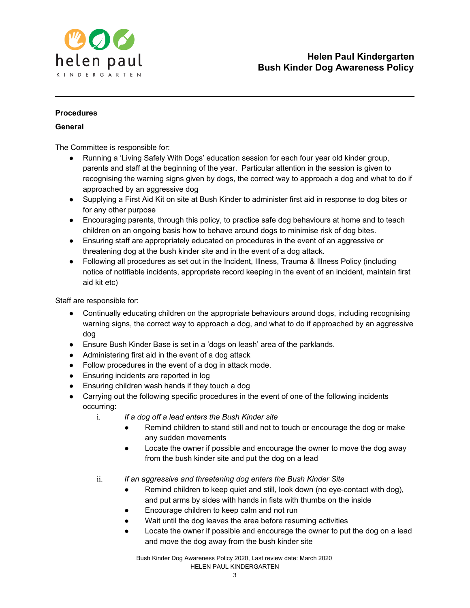

## **Procedures**

## **General**

The Committee is responsible for:

- Running a 'Living Safely With Dogs' education session for each four year old kinder group, parents and staff at the beginning of the year. Particular attention in the session is given to recognising the warning signs given by dogs, the correct way to approach a dog and what to do if approached by an aggressive dog
- Supplying a First Aid Kit on site at Bush Kinder to administer first aid in response to dog bites or for any other purpose
- Encouraging parents, through this policy, to practice safe dog behaviours at home and to teach children on an ongoing basis how to behave around dogs to minimise risk of dog bites.
- Ensuring staff are appropriately educated on procedures in the event of an aggressive or threatening dog at the bush kinder site and in the event of a dog attack.
- Following all procedures as set out in the Incident, Illness, Trauma & Illness Policy (including notice of notifiable incidents, appropriate record keeping in the event of an incident, maintain first aid kit etc)

Staff are responsible for:

- Continually educating children on the appropriate behaviours around dogs, including recognising warning signs, the correct way to approach a dog, and what to do if approached by an aggressive dog
- Ensure Bush Kinder Base is set in a 'dogs on leash' area of the parklands.
- Administering first aid in the event of a dog attack
- Follow procedures in the event of a dog in attack mode.
- Ensuring incidents are reported in log
- Ensuring children wash hands if they touch a dog
- Carrying out the following specific procedures in the event of one of the following incidents occurring:
	- i. *If a dog off a lead enters the Bush Kinder site*
		- Remind children to stand still and not to touch or encourage the dog or make any sudden movements
		- Locate the owner if possible and encourage the owner to move the dog away from the bush kinder site and put the dog on a lead
	- ii. *If an aggressive and threatening dog enters the Bush Kinder Site*
		- Remind children to keep quiet and still, look down (no eye-contact with dog), and put arms by sides with hands in fists with thumbs on the inside
		- Encourage children to keep calm and not run
		- Wait until the dog leaves the area before resuming activities
		- Locate the owner if possible and encourage the owner to put the dog on a lead and move the dog away from the bush kinder site

Bush Kinder Dog Awareness Policy 2020, Last review date: March 2020 HELEN PAUL KINDERGARTEN